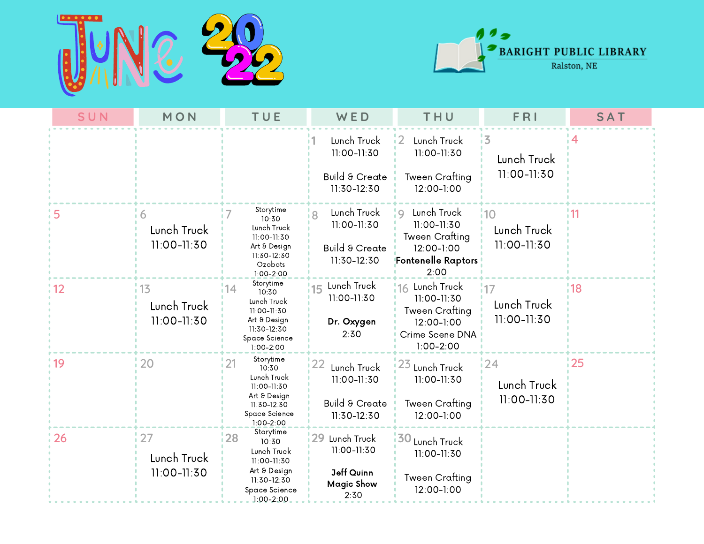



| SUN           | MON                                  | TUE                                                                                                                       | WED                                                                    | THU                                                                                                               | FRI                               | <b>SAT</b> |
|---------------|--------------------------------------|---------------------------------------------------------------------------------------------------------------------------|------------------------------------------------------------------------|-------------------------------------------------------------------------------------------------------------------|-----------------------------------|------------|
|               |                                      |                                                                                                                           | Lunch Truck<br>11:00-11:30                                             | Lunch Truck<br>11:00-11:30                                                                                        | 13<br>Lunch Truck                 |            |
|               |                                      |                                                                                                                           | Build & Create<br>11:30-12:30                                          | <b>Tween Crafting</b><br>12:00-1:00                                                                               | 11:00-11:30                       |            |
| 5             | 6<br>Lunch Truck<br>$11:00 - 11:30$  | Storytime<br>10:30<br>Lunch Truck<br>11:00-11:30<br>Art & Design<br>11:30-12:30<br>Ozobots<br>$1:00 - 2:00$               | Lunch Truck<br>11:00-11:30<br><b>Build &amp; Create</b><br>11:30-12:30 | Lunch Truck<br>$\circ$<br>11:00-11:30<br><b>Tween Crafting</b><br>12:00-1:00<br><b>Fontenelle Raptors</b><br>2:00 | 110<br>Lunch Truck<br>11:00-11:30 | ¦11        |
| $^{\circ}$ 12 | 13<br>Lunch Truck<br>$11:00 - 11:30$ | Storytime<br> 14 <br>10:30<br>Lunch Truck<br>11:00-11:30<br>Art & Design<br>11:30-12:30<br>Space Science<br>$1:00 - 2:00$ | 15 Lunch Truck<br>11:00-11:30<br>Dr. Oxygen<br>2:30                    | Lunch Truck<br>16<br>11:00-11:30<br><b>Tween Crafting</b><br>12:00-1:00<br>Crime Scene DNA<br>$1:00 - 2:00$       | 17<br>Lunch Truck<br>11:00-11:30  | 18         |
| : 19          | 20                                   | Storytime<br>121<br>10:30<br>Lunch Truck<br>11:00-11:30                                                                   | 22<br>Lunch Truck<br>11:00-11:30                                       | 23<br>Lunch Truck<br>11:00-11:30                                                                                  | 124<br>Lunch Truck<br>11:00-11:30 | 125        |
|               |                                      | Art & Design<br>11:30-12:30<br>Space Science<br>$1:00 - 2:00$                                                             | <b>Build &amp; Create</b><br>11:30-12:30                               | <b>Tween Crafting</b><br>12:00-1:00                                                                               |                                   |            |
| 26            | 27<br>Lunch Truck                    | Storytime<br>128<br>10:30<br>Lunch Truck<br>11:00-11:30                                                                   | 29 Lunch Truck<br>11:00-11:30                                          | <b>130</b><br>Lunch Truck<br>11:00-11:30                                                                          |                                   |            |
|               | 11:00-11:30                          | Art & Design<br>11:30-12:30<br>Space Science<br>$1.00 - 2.00$                                                             | Jeff Quinn<br><b>Magic Show</b><br>2:30                                | Tween Crafting<br>12:00-1:00                                                                                      |                                   |            |